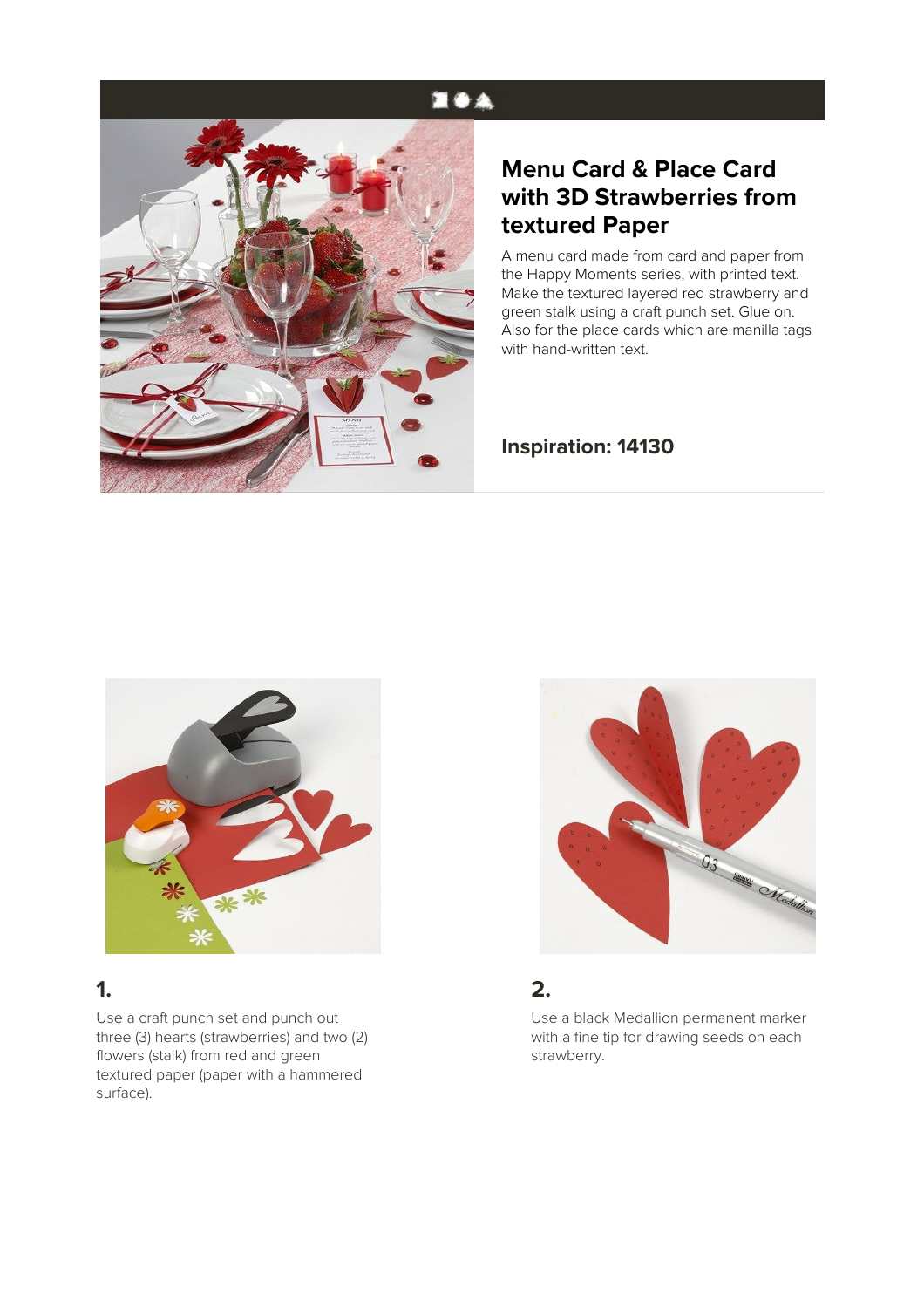# **NOA**



### **Menu Card & Place Card with 3D Strawberries from textured Paper**

A menu card made from card and paper from the Happy Moments series, with printed text. Make the textured layered red strawberry and green stalk using a craft punch set. Glue on. Also for the place cards which are manilla tags with hand-written text.

#### **Inspiration: 14130**



### **1.**

Use a craft punch set and punch out three (3) hearts (strawberries) and two (2) flowers (stalk) from red and green textured paper (paper with a hammered surface).



#### **2.**

Use a black Medallion permanent marker with a fine tip for drawing seeds on each strawberry.